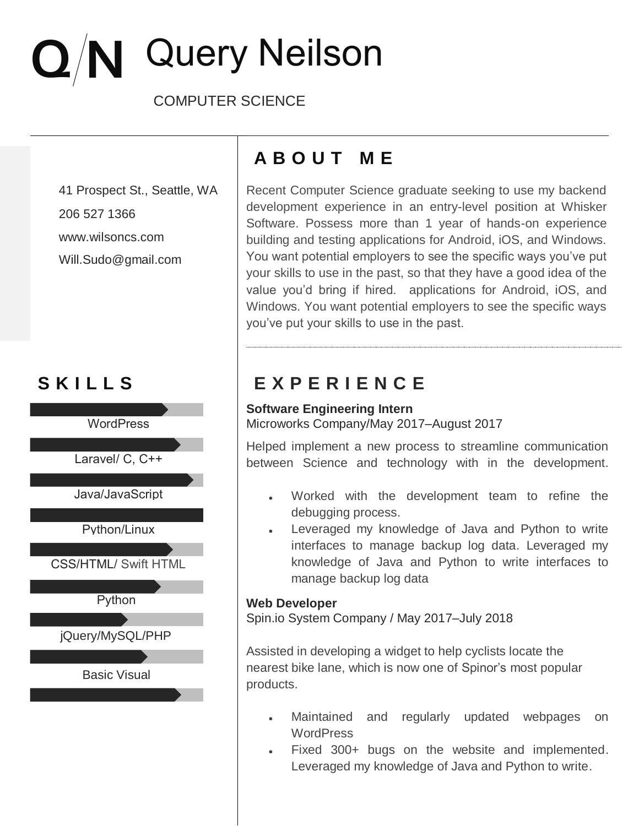# $Q/N$  Query Neilson

COMPUTER SCIENCE

206 527 1366 www.wilsoncs.com Will.Sudo@gmail.com





## **A B O U T M E**

41 Prospect St., Seattle, WA Frecent Computer Science graduate seeking to use my backend development experience in an entry-level position at Whisker Software. Possess more than 1 year of hands-on experience building and testing applications for Android, iOS, and Windows. You want potential employers to see the specific ways you've put your skills to use in the past, so that they have a good idea of the value you'd bring if hired. applications for Android, iOS, and Windows. You want potential employers to see the specific ways you've put your skills to use in the past.

## **S K I L L S E X P E R I E N C E**

#### **Software Engineering Intern** Microworks Company/May 2017–August 2017

Helped implement a new process to streamline communication between Science and technology with in the development.

- Worked with the development team to refine the debugging process.
- Leveraged my knowledge of Java and Python to write interfaces to manage backup log data. Leveraged my knowledge of Java and Python to write interfaces to manage backup log data

#### **Web Developer**

Spin.io System Company / May 2017–July 2018

Assisted in developing a widget to help cyclists locate the nearest bike lane, which is now one of Spinor's most popular products.

- Maintained and regularly updated webpages on **WordPress**
- Fixed 300+ bugs on the website and implemented. Leveraged my knowledge of Java and Python to write.